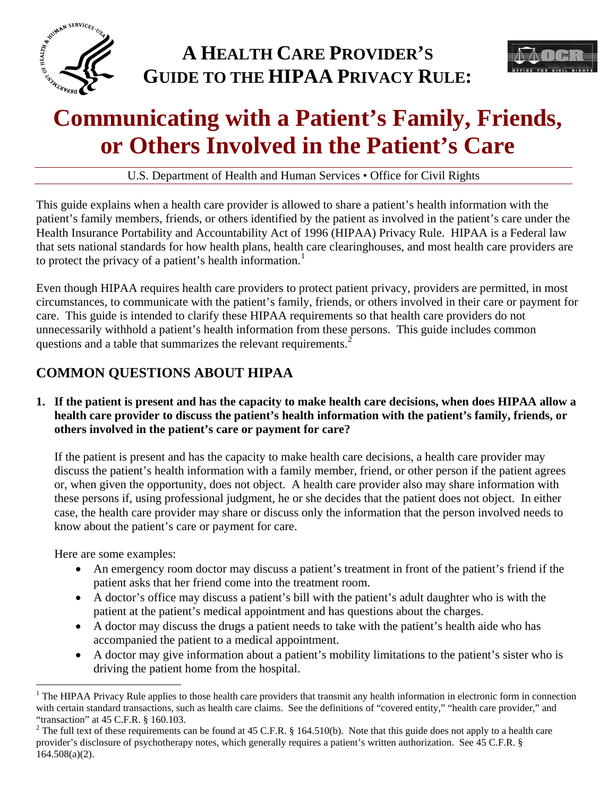



# **Communicating with a Patient's Family, Friends, or Others Involved in the Patient's Care**

U.S. Department of Health and Human Services • Office for Civil Rights

This guide explains when a health care provider is allowed to share a patient's health information with the patient's family members, friends, or others identified by the patient as involved in the patient's care under the Health Insurance Portability and Accountability Act of 1996 (HIPAA) Privacy Rule. HIPAA is a Federal law that sets national standards for how health plans, health care clearinghouses, and most health care providers are to protect the privacy of a patient's health information.<sup>[1](#page-0-0)</sup>

Even though HIPAA requires health care providers to protect patient privacy, providers are permitted, in most circumstances, to communicate with the patient's family, friends, or others involved in their care or payment for care. This guide is intended to clarify these HIPAA requirements so that health care providers do not unnecessarily withhold a patient's health information from these persons. This guide includes common questions and a table that summarizes the relevant requirements.<sup>[2](#page-0-1)</sup>

# **COMMON QUESTIONS ABOUT HIPAA**

**1. If the patient is present and has the capacity to make health care decisions, when does HIPAA allow a health care provider to discuss the patient's health information with the patient's family, friends, or others involved in the patient's care or payment for care?** 

If the patient is present and has the capacity to make health care decisions, a health care provider may discuss the patient's health information with a family member, friend, or other person if the patient agrees or, when given the opportunity, does not object. A health care provider also may share information with these persons if, using professional judgment, he or she decides that the patient does not object. In either case, the health care provider may share or discuss only the information that the person involved needs to know about the patient's care or payment for care.

Here are some examples:

 $\overline{a}$ 

- An emergency room doctor may discuss a patient's treatment in front of the patient's friend if the patient asks that her friend come into the treatment room.
- A doctor's office may discuss a patient's bill with the patient's adult daughter who is with the patient at the patient's medical appointment and has questions about the charges.
- A doctor may discuss the drugs a patient needs to take with the patient's health aide who has accompanied the patient to a medical appointment.
- A doctor may give information about a patient's mobility limitations to the patient's sister who is driving the patient home from the hospital.

<span id="page-0-0"></span><sup>&</sup>lt;sup>1</sup> The HIPAA Privacy Rule applies to those health care providers that transmit any health information in electronic form in connection with certain standard transactions, such as health care claims. See the definitions of "covered entity," "health care provider," and "transaction" at 45 C.F.R. § 160.103.

<span id="page-0-1"></span><sup>&</sup>lt;sup>2</sup> The full text of these requirements can be found at 45 C.F.R. § 164.510(b). Note that this guide does not apply to a health care provider's disclosure of psychotherapy notes, which generally requires a patient's written authorization. See 45 C.F.R. § 164.508(a)(2).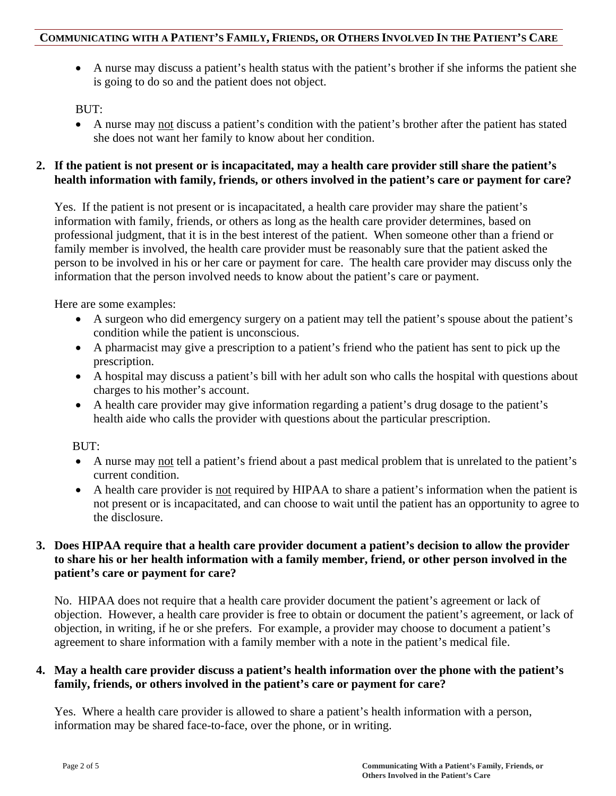• A nurse may discuss a patient's health status with the patient's brother if she informs the patient she is going to do so and the patient does not object.

#### BUT:

• A nurse may not discuss a patient's condition with the patient's brother after the patient has stated she does not want her family to know about her condition.

### **2. If the patient is not present or is incapacitated, may a health care provider still share the patient's health information with family, friends, or others involved in the patient's care or payment for care?**

Yes. If the patient is not present or is incapacitated, a health care provider may share the patient's information with family, friends, or others as long as the health care provider determines, based on professional judgment, that it is in the best interest of the patient. When someone other than a friend or family member is involved, the health care provider must be reasonably sure that the patient asked the person to be involved in his or her care or payment for care. The health care provider may discuss only the information that the person involved needs to know about the patient's care or payment.

Here are some examples:

- A surgeon who did emergency surgery on a patient may tell the patient's spouse about the patient's condition while the patient is unconscious.
- A pharmacist may give a prescription to a patient's friend who the patient has sent to pick up the prescription.
- A hospital may discuss a patient's bill with her adult son who calls the hospital with questions about charges to his mother's account.
- A health care provider may give information regarding a patient's drug dosage to the patient's health aide who calls the provider with questions about the particular prescription.

BUT:

- A nurse may not tell a patient's friend about a past medical problem that is unrelated to the patient's current condition.
- A health care provider is not required by HIPAA to share a patient's information when the patient is not present or is incapacitated, and can choose to wait until the patient has an opportunity to agree to the disclosure.

#### **3. Does HIPAA require that a health care provider document a patient's decision to allow the provider to share his or her health information with a family member, friend, or other person involved in the patient's care or payment for care?**

No. HIPAA does not require that a health care provider document the patient's agreement or lack of objection. However, a health care provider is free to obtain or document the patient's agreement, or lack of objection, in writing, if he or she prefers. For example, a provider may choose to document a patient's agreement to share information with a family member with a note in the patient's medical file.

## **4. May a health care provider discuss a patient's health information over the phone with the patient's family, friends, or others involved in the patient's care or payment for care?**

Yes. Where a health care provider is allowed to share a patient's health information with a person, information may be shared face-to-face, over the phone, or in writing.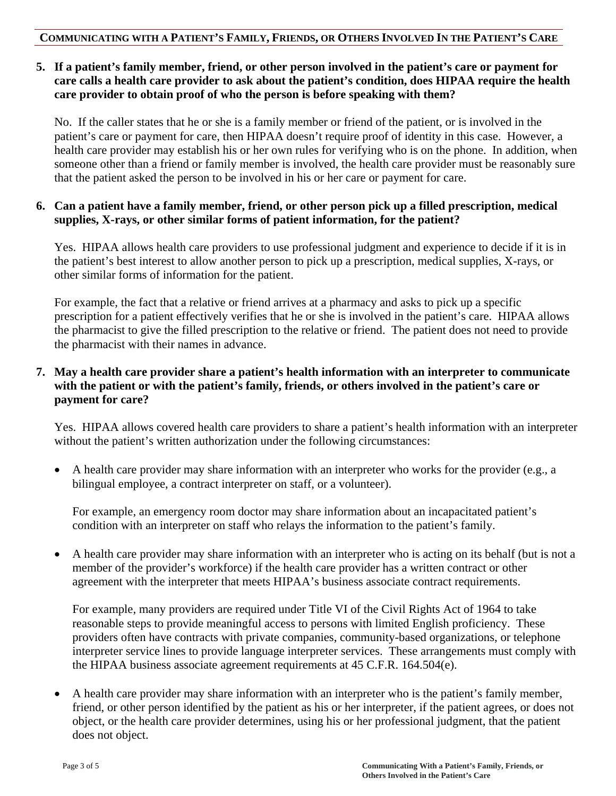#### **COMMUNICATING WITH A PATIENT'S FAMILY, FRIENDS, OR OTHERS INVOLVED IN THE PATIENT'S CARE**

### **5. If a patient's family member, friend, or other person involved in the patient's care or payment for care calls a health care provider to ask about the patient's condition, does HIPAA require the health care provider to obtain proof of who the person is before speaking with them?**

No. If the caller states that he or she is a family member or friend of the patient, or is involved in the patient's care or payment for care, then HIPAA doesn't require proof of identity in this case. However, a health care provider may establish his or her own rules for verifying who is on the phone. In addition, when someone other than a friend or family member is involved, the health care provider must be reasonably sure that the patient asked the person to be involved in his or her care or payment for care.

#### **6. Can a patient have a family member, friend, or other person pick up a filled prescription, medical supplies, X-rays, or other similar forms of patient information, for the patient?**

 Yes. HIPAA allows health care providers to use professional judgment and experience to decide if it is in the patient's best interest to allow another person to pick up a prescription, medical supplies, X-rays, or other similar forms of information for the patient.

 For example, the fact that a relative or friend arrives at a pharmacy and asks to pick up a specific prescription for a patient effectively verifies that he or she is involved in the patient's care. HIPAA allows the pharmacist to give the filled prescription to the relative or friend. The patient does not need to provide the pharmacist with their names in advance.

## **7. May a health care provider share a patient's health information with an interpreter to communicate with the patient or with the patient's family, friends, or others involved in the patient's care or payment for care?**

 Yes. HIPAA allows covered health care providers to share a patient's health information with an interpreter without the patient's written authorization under the following circumstances:

• A health care provider may share information with an interpreter who works for the provider (e.g., a bilingual employee, a contract interpreter on staff, or a volunteer).

For example, an emergency room doctor may share information about an incapacitated patient's condition with an interpreter on staff who relays the information to the patient's family.

• A health care provider may share information with an interpreter who is acting on its behalf (but is not a member of the provider's workforce) if the health care provider has a written contract or other agreement with the interpreter that meets HIPAA's business associate contract requirements.

For example, many providers are required under Title VI of the Civil Rights Act of 1964 to take reasonable steps to provide meaningful access to persons with limited English proficiency. These providers often have contracts with private companies, community-based organizations, or telephone interpreter service lines to provide language interpreter services. These arrangements must comply with the HIPAA business associate agreement requirements at 45 C.F.R. 164.504(e).

• A health care provider may share information with an interpreter who is the patient's family member, friend, or other person identified by the patient as his or her interpreter, if the patient agrees, or does not object, or the health care provider determines, using his or her professional judgment, that the patient does not object.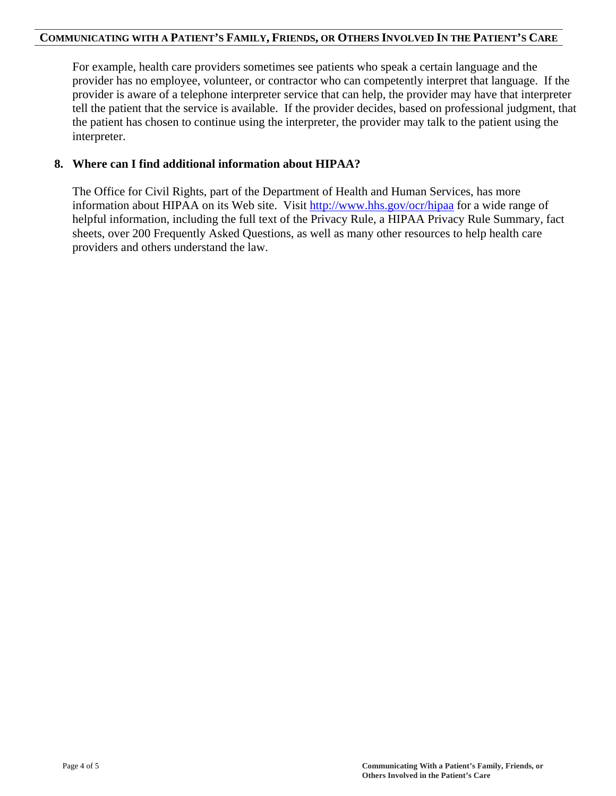#### **COMMUNICATING WITH A PATIENT'S FAMILY, FRIENDS, OR OTHERS INVOLVED IN THE PATIENT'S CARE**

For example, health care providers sometimes see patients who speak a certain language and the provider has no employee, volunteer, or contractor who can competently interpret that language. If the provider is aware of a telephone interpreter service that can help, the provider may have that interpreter tell the patient that the service is available. If the provider decides, based on professional judgment, that the patient has chosen to continue using the interpreter, the provider may talk to the patient using the interpreter.

#### **8. Where can I find additional information about HIPAA?**

 The Office for Civil Rights, part of the Department of Health and Human Services, has more information about HIPAA on its Web site. Visit [http://www.hhs.gov/ocr/hipaa](http://www.hhs.gov/ocr/hipaa/) for a wide range of helpful information, including the full text of the Privacy Rule, a HIPAA Privacy Rule Summary, fact sheets, over 200 Frequently Asked Questions, as well as many other resources to help health care providers and others understand the law.